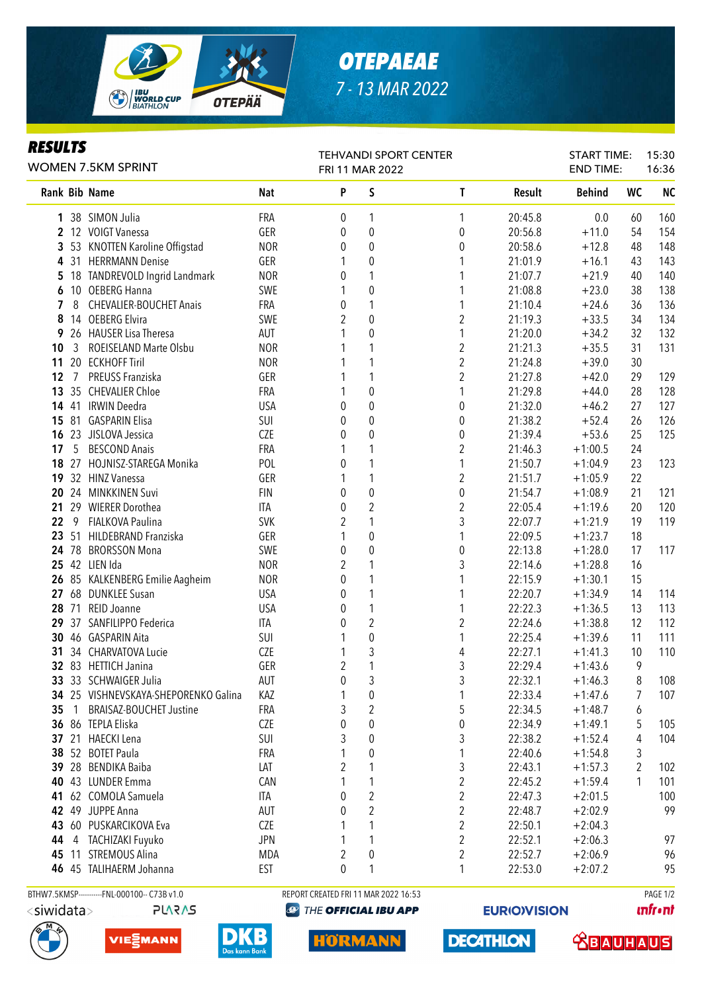

# *OTEPAEAE 7 - 13 MAR 2022*

### *RESULTS*

|          |                | WOMEN 7.5KM SPRINT                        | <b>TEHVANDI SPORT CENTER</b><br>FRI 11 MAR 2022 |                |                  |                         |                    | START TIME:<br><b>END TIME:</b> |           | 15:30<br>16:36 |
|----------|----------------|-------------------------------------------|-------------------------------------------------|----------------|------------------|-------------------------|--------------------|---------------------------------|-----------|----------------|
|          |                | Rank Bib Name                             | <b>Nat</b>                                      | P              | S                | $\mathsf{T}$            | Result             | <b>Behind</b>                   | <b>WC</b> | <b>NC</b>      |
|          |                | 1 38 SIMON Julia                          | FRA                                             | 0              | 1                | 1                       | 20:45.8            | 0.0                             | 60        | 160            |
|          |                | 2 12 VOIGT Vanessa                        | GER                                             | 0              | $\pmb{0}$        | 0                       | 20:56.8            | $+11.0$                         | 54        | 154            |
|          |                | 3 53 KNOTTEN Karoline Offigstad           | <b>NOR</b>                                      | 0              | 0                | 0                       | 20:58.6            | $+12.8$                         | 48        | 148            |
|          |                | 4 31 HERRMANN Denise                      | GER                                             | 1              | 0                |                         | 21:01.9            | $+16.1$                         | 43        | 143            |
| 5        |                | 18 TANDREVOLD Ingrid Landmark             | <b>NOR</b>                                      | 0              |                  |                         | 21:07.7            | $+21.9$                         | 40        | 140            |
| 6        |                | 10 OEBERG Hanna                           | SWE                                             | 1              | $\boldsymbol{0}$ |                         | 21:08.8            | $+23.0$                         | 38        | 138            |
| 7        | 8              | <b>CHEVALIER-BOUCHET Anais</b>            | FRA                                             | 0              | 1                | 1                       | 21:10.4            | $+24.6$                         | 36        | 136            |
| 8        |                | 14 OEBERG Elvira                          | SWE                                             | $\overline{2}$ | 0                | $\overline{\mathbf{c}}$ | 21:19.3            | $+33.5$                         | 34        | 134            |
| 9        |                | 26 HAUSER Lisa Theresa                    | <b>AUT</b>                                      |                | 0                | 1                       | 21:20.0            | $+34.2$                         | 32        | 132            |
| 10       | 3              | ROEISELAND Marte Olsbu                    | <b>NOR</b>                                      |                | 1                | $\boldsymbol{2}$        | 21:21.3            | $+35.5$                         | 31        | 131            |
| 11       |                | 20 ECKHOFF Tiril                          | <b>NOR</b>                                      |                | 1                | $\overline{c}$          | 21:24.8            | $+39.0$                         | 30        |                |
| 12       | $\overline{7}$ | PREUSS Franziska                          | GER                                             |                | 1                | $\overline{c}$          | 21:27.8            | $+42.0$                         | 29        | 129            |
| 13       |                | 35 CHEVALIER Chloe                        | FRA                                             | 1              | $\boldsymbol{0}$ | 1                       | 21:29.8            | $+44.0$                         | 28        | 128            |
|          | 14 41          | <b>IRWIN Deedra</b>                       | <b>USA</b>                                      | 0              | $\boldsymbol{0}$ | 0                       | 21:32.0            | $+46.2$                         | 27        | 127            |
| 15       | 81             | <b>GASPARIN Elisa</b>                     | SUI                                             | 0              | $\boldsymbol{0}$ | 0                       | 21:38.2            | $+52.4$                         | 26        | 126            |
| 16       |                | 23 JISLOVA Jessica                        | <b>CZE</b>                                      | 0              | $\mathbf 0$      | $\boldsymbol{0}$        | 21:39.4            | $+53.6$                         | 25        | 125            |
| 17       | 5              | <b>BESCOND Anais</b>                      | FRA                                             |                | 1                | $\overline{c}$          | 21:46.3            | $+1:00.5$                       | 24        |                |
| 18       | 27             | HOJNISZ-STAREGA Monika<br>32 HINZ Vanessa | POL                                             | 0<br>1         | 1                | 1<br>$\overline{c}$     | 21:50.7            | $+1:04.9$                       | 23<br>22  | 123            |
| 19<br>20 |                | 24 MINKKINEN Suvi                         | GER<br><b>FIN</b>                               | 0              | 1<br>$\mathbf 0$ | $\boldsymbol{0}$        | 21:51.7<br>21:54.7 | $+1:05.9$<br>$+1:08.9$          | 21        | 121            |
| 21       |                | 29 WIERER Dorothea                        | ITA                                             | 0              | $\overline{2}$   | $\overline{c}$          | 22:05.4            | $+1:19.6$                       | 20        | 120            |
| 22       | 9              | FIALKOVA Paulina                          | <b>SVK</b>                                      | 2              | 1                | 3                       | 22:07.7            | $+1:21.9$                       | 19        | 119            |
|          |                | 23 51 HILDEBRAND Franziska                | GER                                             | 1              | $\mathbf 0$      | 1                       | 22:09.5            | $+1:23.7$                       | 18        |                |
|          |                | 24 78 BRORSSON Mona                       | SWE                                             | 0              | $\mathbf 0$      | 0                       | 22:13.8            | $+1:28.0$                       | 17        | 117            |
|          |                | 25 42 LIEN Ida                            | <b>NOR</b>                                      | 2              |                  | 3                       | 22:14.6            | $+1:28.8$                       | 16        |                |
| 26       |                | 85 KALKENBERG Emilie Aagheim              | <b>NOR</b>                                      | 0              |                  |                         | 22:15.9            | $+1:30.1$                       | 15        |                |
|          |                | 27 68 DUNKLEE Susan                       | <b>USA</b>                                      | 0              |                  |                         | 22:20.7            | $+1:34.9$                       | 14        | 114            |
| 28       |                | 71 REID Joanne                            | <b>USA</b>                                      | 0              | 1                |                         | 22:22.3            | $+1:36.5$                       | 13        | 113            |
| 29       |                | 37 SANFILIPPO Federica                    | <b>ITA</b>                                      | 0              | $\overline{c}$   | 2                       | 22:24.6            | $+1:38.8$                       | 12        | 112            |
|          |                | 30 46 GASPARIN Aita                       | SUI                                             | 1              | $\overline{0}$   | 1                       | 22:25.4            | $+1:39.6$                       | 11        | 111            |
| 31       |                | 34 CHARVATOVA Lucie                       | CZE                                             | 1              | 3                | 4                       | 22:27.1            | $+1:41.3$                       | 10        | 110            |
|          |                | 32 83 HETTICH Janina                      | GER                                             | $\overline{2}$ | 1                | 3                       | 22:29.4            | $+1:43.6$                       | 9         |                |
|          |                | 33 33 SCHWAIGER Julia                     | AUT                                             | 0              | 3                | 3                       | 22:32.1            | $+1:46.3$                       | 8         | 108            |
|          |                | 34 25 VISHNEVSKAYA-SHEPORENKO Galina      | KAZ                                             | 1              | 0                | 1                       | 22:33.4            | $+1:47.6$                       | 7         | 107            |
| 35       | 1              | <b>BRAISAZ-BOUCHET Justine</b>            | <b>FRA</b>                                      | 3              | $\boldsymbol{2}$ | 5                       | 22:34.5            | $+1:48.7$                       | 6         |                |
|          |                | 36 86 TEPLA Eliska                        | <b>CZE</b>                                      | 0              | $\boldsymbol{0}$ | 0                       | 22:34.9            | $+1:49.1$                       | 5         | 105            |
| 37       |                | 21 HAECKI Lena                            | SUI                                             | 3              | $\boldsymbol{0}$ | 3                       | 22:38.2            | $+1:52.4$                       | 4         | 104            |
| 38       |                | 52 BOTET Paula                            | FRA                                             | 1              | 0                | 1                       | 22:40.6            | $+1:54.8$                       | 3         |                |
| 39       |                | 28 BENDIKA Baiba                          | LAT                                             | 2              |                  | 3                       | 22:43.1            | $+1:57.3$                       | 2         | 102            |
| 40       |                | 43 LUNDER Emma                            | CAN                                             | 1              | 1                | $\overline{c}$          | 22:45.2            | $+1:59.4$                       | 1         | 101            |
| 41       |                | 62 COMOLA Samuela                         | ITA                                             | 0              | $\overline{c}$   | $\overline{c}$          | 22:47.3            | $+2:01.5$                       |           | 100            |
|          |                | 42 49 JUPPE Anna                          | <b>AUT</b>                                      | 0              | 2                | $\overline{c}$          | 22:48.7            | $+2:02.9$                       |           | 99             |
| 43       |                | 60 PUSKARCIKOVA Eva                       | CZE                                             | 1              | 1                | $\overline{\mathbf{c}}$ | 22:50.1            | $+2:04.3$                       |           |                |
| 44       |                | 4 TACHIZAKI Fuyuko                        | <b>JPN</b>                                      | 1              |                  | $\overline{\mathbf{c}}$ | 22:52.1            | $+2:06.3$                       |           | 97             |
| 45       |                | 11 STREMOUS Alina                         | MDA                                             | 2              | 0                | 2                       | 22:52.7            | $+2:06.9$                       |           | 96             |
|          |                | 46 45 TALIHAERM Johanna                   | <b>EST</b>                                      | 0              | 1                | 1                       | 22:53.0            | $+2:07.2$                       |           | 95             |
|          |                |                                           |                                                 |                |                  |                         |                    |                                 |           |                |

**PLARAS** 



VIESMANN



BTHW7.5KMSP----------FNL-000100-- C73B v1.0 REPORT CREATED FRI 11 MAR 2022 16:53 PAGE 1/2 **@ THE OFFICIAL IBU APP** 

**HORMANN** 

**EURIO)VISION** 

**DECATHLON** 

**unfront** 

 **<u>CBAUHAUS</u>**